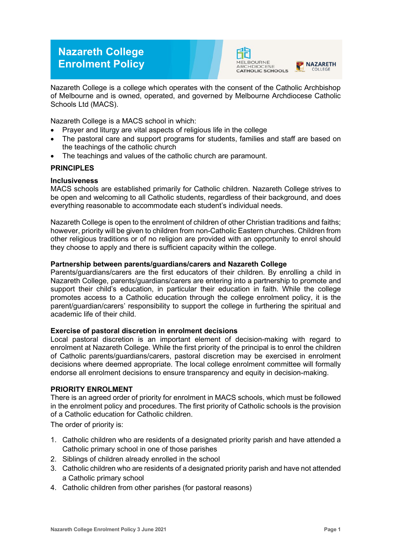# **Nazareth College Enrolment Policy**





Nazareth College is a college which operates with the consent of the Catholic Archbishop of Melbourne and is owned, operated, and governed by Melbourne Archdiocese Catholic Schools Ltd (MACS).

Nazareth College is a MACS school in which:

- Prayer and liturgy are vital aspects of religious life in the college
- The pastoral care and support programs for students, families and staff are based on the teachings of the catholic church
- The teachings and values of the catholic church are paramount.

## **PRINCIPLES**

## **Inclusiveness**

MACS schools are established primarily for Catholic children. Nazareth College strives to be open and welcoming to all Catholic students, regardless of their background, and does everything reasonable to accommodate each student's individual needs.

Nazareth College is open to the enrolment of children of other Christian traditions and faiths; however, priority will be given to children from non-Catholic Eastern churches. Children from other religious traditions or of no religion are provided with an opportunity to enrol should they choose to apply and there is sufficient capacity within the college.

#### **Partnership between parents/guardians/carers and Nazareth College**

Parents/guardians/carers are the first educators of their children. By enrolling a child in Nazareth College, parents/guardians/carers are entering into a partnership to promote and support their child's education, in particular their education in faith. While the college promotes access to a Catholic education through the college enrolment policy, it is the parent/guardian/carers' responsibility to support the college in furthering the spiritual and academic life of their child.

#### **Exercise of pastoral discretion in enrolment decisions**

Local pastoral discretion is an important element of decision-making with regard to enrolment at Nazareth College. While the first priority of the principal is to enrol the children of Catholic parents/guardians/carers, pastoral discretion may be exercised in enrolment decisions where deemed appropriate. The local college enrolment committee will formally endorse all enrolment decisions to ensure transparency and equity in decision-making.

# **PRIORITY ENROLMENT**

There is an agreed order of priority for enrolment in MACS schools, which must be followed in the enrolment policy and procedures. The first priority of Catholic schools is the provision of a Catholic education for Catholic children.

The order of priority is:

- 1. Catholic children who are residents of a designated priority parish and have attended a Catholic primary school in one of those parishes
- 2. Siblings of children already enrolled in the school
- 3. Catholic children who are residents of a designated priority parish and have not attended a Catholic primary school
- 4. Catholic children from other parishes (for pastoral reasons)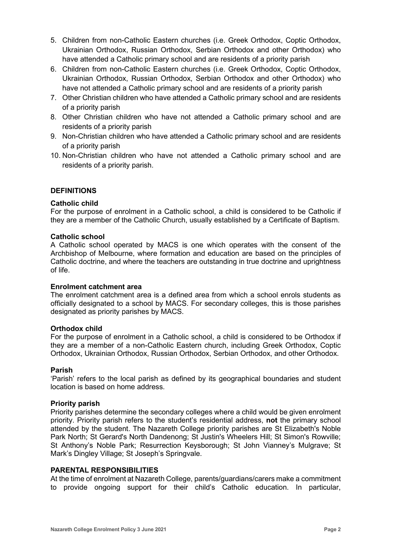- 5. Children from non-Catholic Eastern churches (i.e. Greek Orthodox, Coptic Orthodox, Ukrainian Orthodox, Russian Orthodox, Serbian Orthodox and other Orthodox) who have attended a Catholic primary school and are residents of a priority parish
- 6. Children from non-Catholic Eastern churches (i.e. Greek Orthodox, Coptic Orthodox, Ukrainian Orthodox, Russian Orthodox, Serbian Orthodox and other Orthodox) who have not attended a Catholic primary school and are residents of a priority parish
- 7. Other Christian children who have attended a Catholic primary school and are residents of a priority parish
- 8. Other Christian children who have not attended a Catholic primary school and are residents of a priority parish
- 9. Non-Christian children who have attended a Catholic primary school and are residents of a priority parish
- 10. Non-Christian children who have not attended a Catholic primary school and are residents of a priority parish.

## **DEFINITIONS**

## **Catholic child**

For the purpose of enrolment in a Catholic school, a child is considered to be Catholic if they are a member of the Catholic Church, usually established by a Certificate of Baptism.

#### **Catholic school**

A Catholic school operated by MACS is one which operates with the consent of the Archbishop of Melbourne, where formation and education are based on the principles of Catholic doctrine, and where the teachers are outstanding in true doctrine and uprightness of life.

#### **Enrolment catchment area**

The enrolment catchment area is a defined area from which a school enrols students as officially designated to a school by MACS. For secondary colleges, this is those parishes designated as priority parishes by MACS.

#### **Orthodox child**

For the purpose of enrolment in a Catholic school, a child is considered to be Orthodox if they are a member of a non-Catholic Eastern church, including Greek Orthodox, Coptic Orthodox, Ukrainian Orthodox, Russian Orthodox, Serbian Orthodox, and other Orthodox.

#### **Parish**

'Parish' refers to the local parish as defined by its geographical boundaries and student location is based on home address.

#### **Priority parish**

Priority parishes determine the secondary colleges where a child would be given enrolment priority. Priority parish refers to the student's residential address, **not** the primary school attended by the student. The Nazareth College priority parishes are St Elizabeth's Noble Park North; St Gerard's North Dandenong; St Justin's Wheelers Hill; St Simon's Rowville; St Anthony's Noble Park; Resurrection Keysborough; St John Vianney's Mulgrave; St Mark's Dingley Village; St Joseph's Springvale.

#### **PARENTAL RESPONSIBILITIES**

At the time of enrolment at Nazareth College, parents/guardians/carers make a commitment to provide ongoing support for their child's Catholic education. In particular,